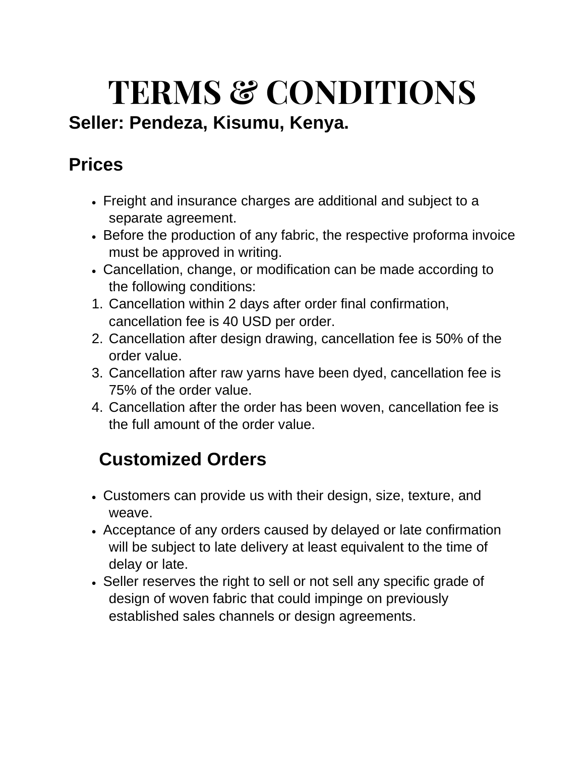# **TERMS & CONDITIONS**

## **Seller: Pendeza, Kisumu, Kenya.**

## **Prices**

- Freight and insurance charges are additional and subject to a separate agreement.
- Before the production of any fabric, the respective proforma invoice must be approved in writing.
- Cancellation, change, or modification can be made according to the following conditions:
- 1. Cancellation within 2 days after order final confirmation, cancellation fee is 40 USD per order.
- 2. Cancellation after design drawing, cancellation fee is 50% of the order value.
- 3. Cancellation after raw yarns have been dyed, cancellation fee is 75% of the order value.
- 4. Cancellation after the order has been woven, cancellation fee is the full amount of the order value.

# **Customized Orders**

- Customers can provide us with their design, size, texture, and weave.
- Acceptance of any orders caused by delayed or late confirmation will be subject to late delivery at least equivalent to the time of delay or late.
- Seller reserves the right to sell or not sell any specific grade of design of woven fabric that could impinge on previously established sales channels or design agreements.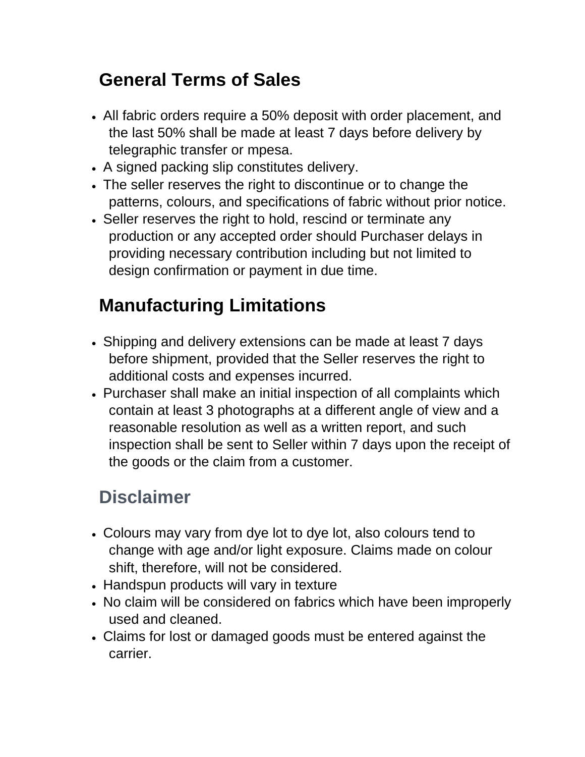## **General Terms of Sales**

- All fabric orders require a 50% deposit with order placement, and the last 50% shall be made at least 7 days before delivery by telegraphic transfer or mpesa.
- A signed packing slip constitutes delivery.
- The seller reserves the right to discontinue or to change the patterns, colours, and specifications of fabric without prior notice.
- Seller reserves the right to hold, rescind or terminate any production or any accepted order should Purchaser delays in providing necessary contribution including but not limited to design confirmation or payment in due time.

## **Manufacturing Limitations**

- Shipping and delivery extensions can be made at least 7 days before shipment, provided that the Seller reserves the right to additional costs and expenses incurred.
- Purchaser shall make an initial inspection of all complaints which contain at least 3 photographs at a different angle of view and a reasonable resolution as well as a written report, and such inspection shall be sent to Seller within 7 days upon the receipt of the goods or the claim from a customer.

## **Disclaimer**

- Colours may vary from dye lot to dye lot, also colours tend to change with age and/or light exposure. Claims made on colour shift, therefore, will not be considered.
- Handspun products will vary in texture
- No claim will be considered on fabrics which have been improperly used and cleaned.
- Claims for lost or damaged goods must be entered against the carrier.